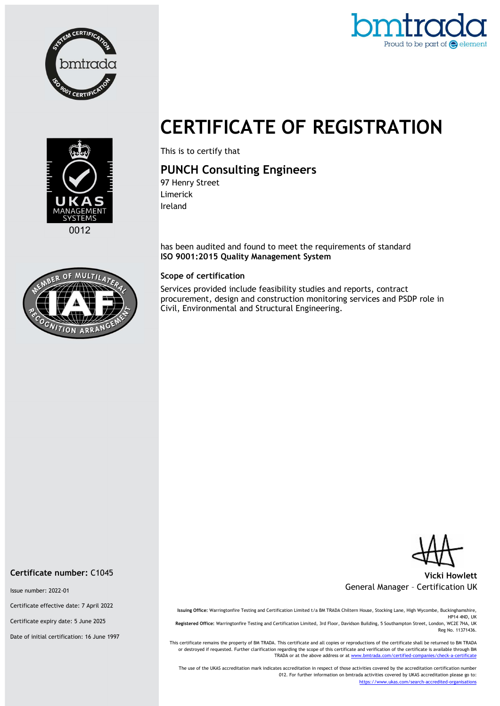



# CERTIFICATE OF REGISTRATION



This is to certify that

## PUNCH Consulting Engineers

97 Henry Street Limerick Ireland

has been audited and found to meet the requirements of standard ISO 9001:2015 Quality Management System

#### Scope of certification

Services provided include feasibility studies and reports, contract procurement, design and construction monitoring services and PSDP role in Civil, Environmental and Structural Engineering.



#### Vicki Howlett General Manager – Certification UK

Issuing Office: Warringtonfire Testing and Certification Limited t/a BM TRADA Chiltern House, Stocking Lane, High Wycombe, Buckinghamshire, HP14 4ND, UK Registered Office: Warringtonfire Testing and Certification Limited, 3rd Floor, Davidson Building, 5 Southampton Street, London, WC2E 7HA, UK Reg No. 11371436.

This certificate remains the property of BM TRADA. This certificate and all copies or reproductions of the certificate shall be returned to BM TRADA or destroyed if requested. Further clarification regarding the scope of this certificate and verification of the certificate is available through BM TRADA or at the above address or at www.bmtrada.com/certified-companies/check-a-certificate

The use of the UKAS accreditation mark indicates accreditation in respect of those activities covered by the accreditation certification number 012. For further information on bmtrada activities covered by UKAS accreditation please go to: https://www.ukas.com/search-accredited-organisations

Certificate number: C1045

Issue number: 2022-01

Certificate effective date: 7 April 2022

Certificate expiry date: 5 June 2025

Date of initial certification: 16 June 1997